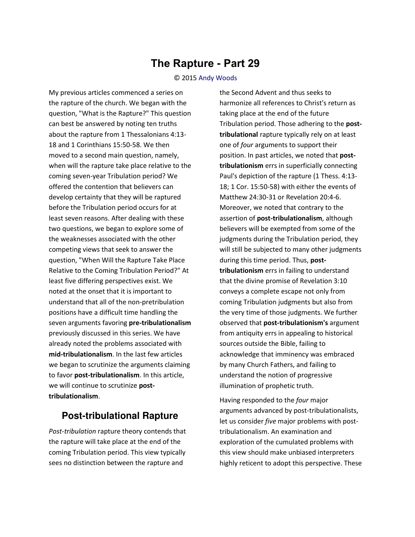## **The Rapture - Part 29**

## © 2015 [Andy Woods](http://www.spiritandtruth.org/id/aw.htm)

My previous articles commenced a series on the rapture of the church. We began with the question, "What is the Rapture?" This question can best be answered by noting ten truths about the rapture from 1 Thessalonians 4:13- 18 and 1 Corinthians 15:50-58. We then moved to a second main question, namely, when will the rapture take place relative to the coming seven-year Tribulation period? We offered the contention that believers can develop certainty that they will be raptured before the Tribulation period occurs for at least seven reasons. After dealing with these two questions, we began to explore some of the weaknesses associated with the other competing views that seek to answer the question, "When Will the Rapture Take Place Relative to the Coming Tribulation Period?" At least five differing perspectives exist. We noted at the onset that it is important to understand that all of the non-pretribulation positions have a difficult time handling the seven arguments favoring **pre-tribulationalism** previously discussed in this series. We have already noted the problems associated with **mid-tribulationalism**. In the last few articles we began to scrutinize the arguments claiming to favor **post-tribulationalism**. In this article, we will continue to scrutinize **posttribulationalism**.

## **Post-tribulational Rapture**

*Post-tribulation* rapture theory contends that the rapture will take place at the end of the coming Tribulation period. This view typically sees no distinction between the rapture and

the Second Advent and thus seeks to harmonize all references to Christ's return as taking place at the end of the future Tribulation period. Those adhering to the **posttribulational** rapture typically rely on at least one of *four* arguments to support their position. In past articles, we noted that **posttribulationism** errs in superficially connecting Paul's depiction of the rapture (1 Thess. 4:13- 18; 1 Cor. 15:50-58) with either the events of Matthew 24:30-31 or Revelation 20:4-6. Moreover, we noted that contrary to the assertion of **post-tribulationalism**, although believers will be exempted from some of the judgments during the Tribulation period, they will still be subjected to many other judgments during this time period. Thus, **posttribulationism** errs in failing to understand that the divine promise of Revelation 3:10 conveys a complete escape not only from coming Tribulation judgments but also from the very time of those judgments. We further observed that **post-tribulationism's** argument from antiquity errs in appealing to historical sources outside the Bible, failing to acknowledge that imminency was embraced by many Church Fathers, and failing to understand the notion of progressive illumination of prophetic truth.

Having responded to the *four* major arguments advanced by post-tribulationalists, let us consider *five* major problems with posttribulationalism. An examination and exploration of the cumulated problems with this view should make unbiased interpreters highly reticent to adopt this perspective. These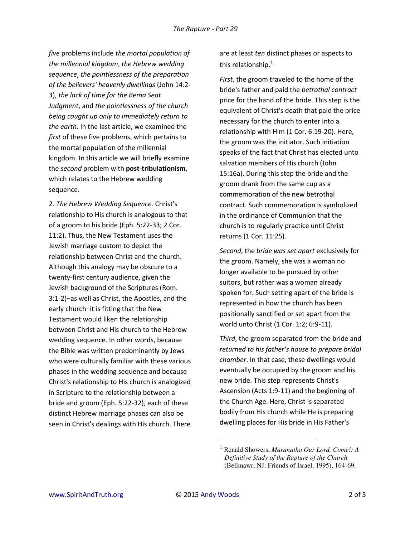*five* problems include *the mortal population of the millennial kingdom*, *the Hebrew wedding sequence*, *the pointlessness of the preparation of the believers' heavenly dwellings* (John 14:2- 3), *the lack of time for the Bema Seat Judgment*, and *the pointlessness of the church being caught up only to immediately return to the earth*. In the last article, we examined the *first* of these five problems, which pertains to the mortal population of the millennial kingdom. In this article we will briefly examine the *second* problem with **post-tribulationism**, which relates to the Hebrew wedding sequence.

2. *The Hebrew Wedding Sequence.* Christ's relationship to His church is analogous to that of a groom to his bride (Eph. 5:22-33; 2 Cor. 11:2). Thus, the New Testament uses the Jewish marriage custom to depict the relationship between Christ and the church. Although this analogy may be obscure to a twenty-first century audience, given the Jewish background of the Scriptures (Rom. 3:1-2)‒as ǁell as Christ, the Apostles, and the early church-it is fitting that the New Testament would liken the relationship between Christ and His church to the Hebrew wedding sequence. In other words, because the Bible was written predominantly by Jews who were culturally familiar with these various phases in the wedding sequence and because Christ's relationship to His church is analogized in Scripture to the relationship between a bride and groom (Eph. 5:22-32), each of these distinct Hebrew marriage phases can also be seen in Christ's dealings with His church. There

are at least *ten* distinct phases or aspects to this relationship.<sup>1</sup>

*First*, the groom traveled to the home of the bride's father and paid the *betrothal contract* price for the hand of the bride. This step is the equivalent of Christ's death that paid the price necessary for the church to enter into a relationship with Him (1 Cor. 6:19-20). Here, the groom was the initiator. Such initiation speaks of the fact that Christ has elected unto salvation members of His church (John 15:16a). During this step the bride and the groom drank from the same cup as a commemoration of the new betrothal contract. Such commemoration is symbolized in the ordinance of Communion that the church is to regularly practice until Christ returns (1 Cor. 11:25).

*Second*, the *bride was set apart* exclusively for the groom. Namely, she was a woman no longer available to be pursued by other suitors, but rather was a woman already spoken for. Such setting apart of the bride is represented in how the church has been positionally sanctified or set apart from the world unto Christ (1 Cor. 1:2; 6:9-11).

*Third*, the groom separated from the bride and *returned to his father's house to prepare bridal chamber*. In that case, these dwellings would eventually be occupied by the groom and his new bride. This step represents Christ's Ascension (Acts 1:9-11) and the beginning of the Church Age. Here, Christ is separated bodily from His church while He is preparing dwelling places for His bride in His Father's

l

<sup>1</sup> Renald Showers, *Maranatha Our Lord, Come!: A Definitive Study of the Rapture of the Church* (Bellmawr, NJ: Friends of Israel, 1995), 164-69.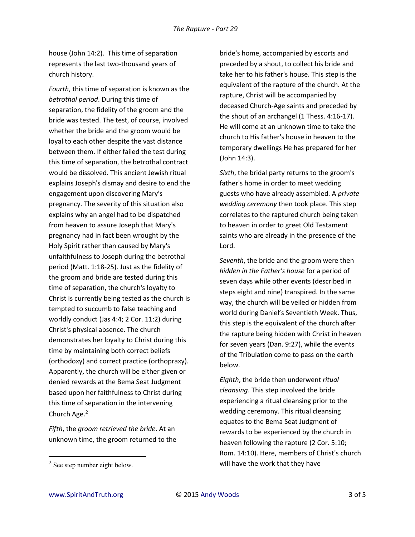house (John 14:2). This time of separation represents the last two-thousand years of church history.

*Fourth*, this time of separation is known as the *betrothal period*. During this time of separation, the fidelity of the groom and the bride was tested. The test, of course, involved whether the bride and the groom would be loyal to each other despite the vast distance between them. If either failed the test during this time of separation, the betrothal contract would be dissolved. This ancient Jewish ritual explains Joseph's dismay and desire to end the engagement upon discovering Mary's pregnancy. The severity of this situation also explains why an angel had to be dispatched from heaven to assure Joseph that Mary's pregnancy had in fact been wrought by the Holy Spirit rather than caused by Mary's unfaithfulness to Joseph during the betrothal period (Matt. 1:18-25). Just as the fidelity of the groom and bride are tested during this time of separation, the church's loyalty to Christ is currently being tested as the church is tempted to succumb to false teaching and worldly conduct (Jas 4:4; 2 Cor. 11:2) during Christ's physical absence. The church demonstrates her loyalty to Christ during this time by maintaining both correct beliefs (orthodoxy) and correct practice (orthopraxy). Apparently, the church will be either given or denied rewards at the Bema Seat Judgment based upon her faithfulness to Christ during this time of separation in the intervening Church Age.<sup>2</sup>

*Fifth*, the *groom retrieved the bride*. At an unknown time, the groom returned to the bride's home, accompanied by escorts and preceded by a shout, to collect his bride and take her to his father's house. This step is the equivalent of the rapture of the church. At the rapture, Christ will be accompanied by deceased Church-Age saints and preceded by the shout of an archangel (1 Thess. 4:16-17). He will come at an unknown time to take the church to His father's house in heaven to the temporary dwellings He has prepared for her (John 14:3).

*Sixth*, the bridal party returns to the groom's father's home in order to meet wedding guests who have already assembled. A *private wedding ceremony* then took place. This step correlates to the raptured church being taken to heaven in order to greet Old Testament saints who are already in the presence of the Lord.

*Seventh*, the bride and the groom were then *hidden in the Father's house* for a period of seven days while other events (described in steps eight and nine) transpired. In the same way, the church will be veiled or hidden from world during Daniel's Seventieth Week. Thus, this step is the equivalent of the church after the rapture being hidden with Christ in heaven for seven years (Dan. 9:27), while the events of the Tribulation come to pass on the earth below.

*Eighth*, the bride then underwent *ritual cleansing*. This step involved the bride experiencing a ritual cleansing prior to the wedding ceremony. This ritual cleansing equates to the Bema Seat Judgment of rewards to be experienced by the church in heaven following the rapture (2 Cor. 5:10; Rom. 14:10). Here, members of Christ's church will have the work that they have

 $2$  See step number eight below.

 $\overline{a}$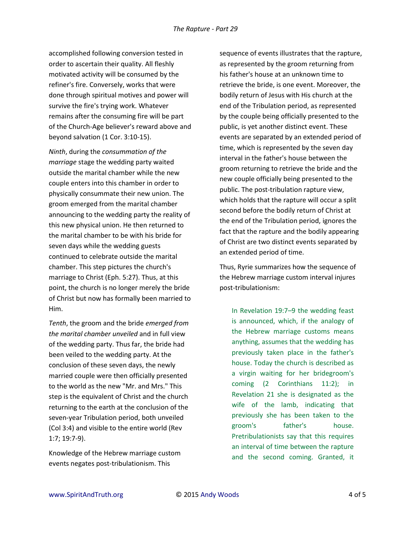accomplished following conversion tested in order to ascertain their quality. All fleshly motivated activity will be consumed by the refiner's fire. Conversely, works that were done through spiritual motives and power will survive the fire's trying work. Whatever remains after the consuming fire will be part of the Church-Age believer's reward above and beyond salvation (1 Cor. 3:10-15).

*Ninth*, during the *consummation of the marriage* stage the wedding party waited outside the marital chamber while the new couple enters into this chamber in order to physically consummate their new union. The groom emerged from the marital chamber announcing to the wedding party the reality of this new physical union. He then returned to the marital chamber to be with his bride for seven days while the wedding guests continued to celebrate outside the marital chamber. This step pictures the church's marriage to Christ (Eph. 5:27). Thus, at this point, the church is no longer merely the bride of Christ but now has formally been married to Him.

*Tenth*, the groom and the bride *emerged from the marital chamber unveiled* and in full view of the wedding party. Thus far, the bride had been veiled to the wedding party. At the conclusion of these seven days, the newly married couple were then officially presented to the world as the new "Mr. and Mrs." This step is the equivalent of Christ and the church returning to the earth at the conclusion of the seven-year Tribulation period, both unveiled (Col 3:4) and visible to the entire world (Rev 1:7; 19:7-9).

Knowledge of the Hebrew marriage custom events negates post-tribulationism. This

sequence of events illustrates that the rapture, as represented by the groom returning from his father's house at an unknown time to retrieve the bride, is one event. Moreover, the bodily return of Jesus with His church at the end of the Tribulation period, as represented by the couple being officially presented to the public, is yet another distinct event. These events are separated by an extended period of time, which is represented by the seven day interval in the father's house between the groom returning to retrieve the bride and the new couple officially being presented to the public. The post-tribulation rapture view, which holds that the rapture will occur a split second before the bodily return of Christ at the end of the Tribulation period, ignores the fact that the rapture and the bodily appearing of Christ are two distinct events separated by an extended period of time.

Thus, Ryrie summarizes how the sequence of the Hebrew marriage custom interval injures post-tribulationism:

In Revelation 19:7–9 the wedding feast is announced, which, if the analogy of the Hebrew marriage customs means anything, assumes that the wedding has previously taken place in the father's house. Today the church is described as a virgin waiting for her bridegroom's coming (2 Corinthians 11:2); in Revelation 21 she is designated as the wife of the lamb, indicating that previously she has been taken to the groom's father's house. Pretribulationists say that this requires an interval of time between the rapture and the second coming. Granted, it